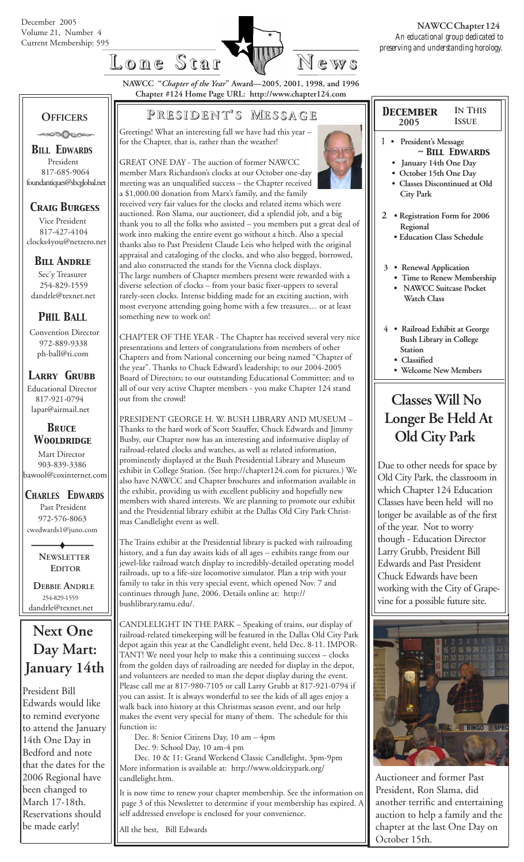



**IN THIS ISSUE**

**NAWCC "***Chapter of the Year***" Award—2005, 2001, 1998, and 1996 Chapter #124 Home Page URL: http://www.chapter124.com**

## **OFFICERS**

.0000000

*BILL EDWARDS* President 817-685-9064 foundantiques@sbcglobal.net

## *Craig Burgess*

 Vice President 817-427-4104 clocks4you@netzero.net

## *Bill Andrle*

 Sec'y Treasurer 254-829-1559 dandrle@texnet.net

## *PHIL BALL*

 Convention Director 972-889-9338 ph-ball@ti.com

### *Larry Grubb*

Educational Director 817-921-0794 lapat@airmail.net

### *BRuce Wooldridge*

 Mart Director 903-839-3386 bawool@coxinternet.com

#### *CHARLES EDWARDS* Past President 972-576-8063 cwedwards1@juno.com

 **NEWSLETTER EDITOR**

 **DEBBIE ANDRLE** 254-829-1559 dandrle@texnet.net

# **Next One Day Mart: January 14th**

President Bill Edwards would like to remind everyone to attend the January 14th One Day in Bedford and note that the dates for the 2006 Regional have been changed to March 17-18th. Reservations should be made early!

## **P RESIDENT RESIDENT' S M ESSAGE**

Greetings! What an interesting fall we have had this year – for the Chapter, that is, rather than the weather!

GREAT ONE DAY - The auction of former NAWCC member Marx Richardson's clocks at our October one-day meeting was an unqualified success – the Chapter received a \$1,000.00 donation from Marx's family, and the family received very fair values for the clocks and related items which were auctioned. Ron Slama, our auctioneer, did a splendid job, and a big thank you to all the folks who assisted – you members put a great deal of work into making the entire event go without a hitch. Also a special thanks also to Past President Claude Leis who helped with the original appraisal and cataloging of the clocks, and who also begged, borrowed, and also constructed the stands for the Vienna clock displays. The large numbers of Chapter members present were rewarded with a diverse selection of clocks – from your basic fixer-uppers to several rarely-seen clocks. Intense bidding made for an exciting auction, with most everyone attending going home with a few treasures… or at least something new to work on!

CHAPTER OF THE YEAR - The Chapter has received several very nice presentations and letters of congratulations from members of other Chapters and from National concerning our being named "Chapter of the year". Thanks to Chuck Edward's leadership; to our 2004-2005 Board of Directors; to our outstanding Educational Committee; and to all of our very active Chapter members - you make Chapter 124 stand out from the crowd!

PRESIDENT GEORGE H. W. BUSH LIBRARY AND MUSEUM – Thanks to the hard work of Scott Stauffer, Chuck Edwards and Jimmy Busby, our Chapter now has an interesting and informative display of railroad-related clocks and watches, as well as related information, prominently displayed at the Bush Presidential Library and Museum exhibit in College Station. (See http://chapter124.com for pictures.) We also have NAWCC and Chapter brochures and information available in the exhibit, providing us with excellent publicity and hopefully new members with shared interests. We are planning to promote our exhibit and the Presidential library exhibit at the Dallas Old City Park Christmas Candlelight event as well.

The Trains exhibit at the Presidential library is packed with railroading history, and a fun day awaits kids of all ages – exhibits range from our jewel-like railroad watch display to incredibly-detailed operating model railroads, up to a life-size locomotive simulator. Plan a trip with your family to take in this very special event, which opened Nov. 7 and continues through June, 2006. Details online at: http:// bushlibrary.tamu.edu/.

CANDLELIGHT IN THE PARK – Speaking of trains, our display of railroad-related timekeeping will be featured in the Dallas Old City Park depot again this year at the Candlelight event, held Dec. 8-11. IMPOR-TANT! We need your help to make this a continuing success – clocks from the golden days of railroading are needed for display in the depot, and volunteers are needed to man the depot display during the event. Please call me at 817-980-7105 or call Larry Grubb at 817-921-0794 if you can assist. It is always wonderful to see the kids of all ages enjoy a walk back into history at this Christmas season event, and our help makes the event very special for many of them. The schedule for this function is:

Dec. 8: Senior Citizens Day, 10 am – 4pm

Dec. 9: School Day, 10 am-4 pm

 Dec. 10 & 11: Grand Weekend Classic Candlelight, 3pm-9pm More information is available at: http://www.oldcitypark.org/ candlelight.htm.

It is now time to renew your chapter membership. See the information on page 3 of this Newsletter to determine if your membership has expired. A self addressed envelope is enclosed for your convenience.

All the best, Bill Edwards



#### 1 **• President's Message** *~ Bill Edwards*  **• January 14th One Day • October 15th One Day • Classes Discontinued at Old City Park**

 *December* **2005**

- **2 Registration Form for 2006 Regional**
	- **Education Class Schedule**
- **3 Renewal Application**
	- **Time to Renew Membership**
	- **NAWCC Suitcase Pocket Watch Class**
- **4 Railroad Exhibit at George Bush Library in College Station**
	- **Classified**
	- **Welcome New Members**

# **Classes Will No Longer Be Held At Old City Park**

Due to other needs for space by Old City Park, the classroom in which Chapter 124 Education Classes have been held will no longer be available as of the first of the year. Not to worry though - Education Director Larry Grubb, President Bill Edwards and Past President Chuck Edwards have been working with the City of Grapevine for a possible future site.



Auctioneer and former Past President, Ron Slama, did another terrific and entertaining auction to help a family and the chapter at the last One Day on October 15th.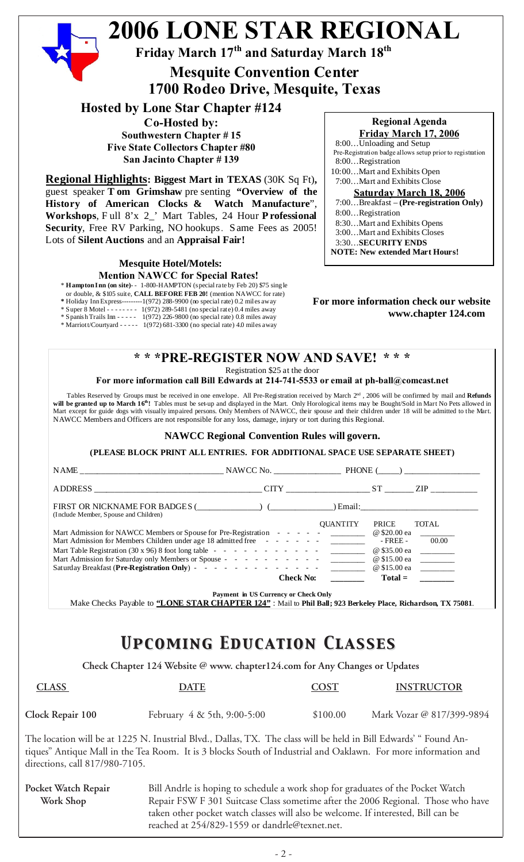|                                                    | Friday March 17 <sup>th</sup> and Saturday March 18 <sup>th</sup><br><b>Mesquite Convention Center</b><br>1700 Rodeo Drive, Mesquite, Texas                                                                                                                                                                                                                                                                                                                                                                                                                                                                                                                                                                                                                                                                                                                           |                                                                                                                           |                                                                                                                                                                                                                                                                                                                                                                                                                                                         |
|----------------------------------------------------|-----------------------------------------------------------------------------------------------------------------------------------------------------------------------------------------------------------------------------------------------------------------------------------------------------------------------------------------------------------------------------------------------------------------------------------------------------------------------------------------------------------------------------------------------------------------------------------------------------------------------------------------------------------------------------------------------------------------------------------------------------------------------------------------------------------------------------------------------------------------------|---------------------------------------------------------------------------------------------------------------------------|---------------------------------------------------------------------------------------------------------------------------------------------------------------------------------------------------------------------------------------------------------------------------------------------------------------------------------------------------------------------------------------------------------------------------------------------------------|
|                                                    | <b>Hosted by Lone Star Chapter #124</b><br>Co-Hosted by:<br><b>Southwestern Chapter #15</b><br><b>Five State Collectors Chapter #80</b><br>San Jacinto Chapter #139<br><b>Regional Highlights: Biggest Mart in TEXAS (30K Sq Ft),</b><br>guest speaker T om Grimshaw pre senting "Overview of the<br>History of American Clocks & Watch Manufacture",<br>Workshops, Full 8'x 2_' Mart Tables, 24 Hour Professional<br>Security, Free RV Parking, NO hookups. Same Fees as 2005!<br>Lots of Silent Auctions and an Appraisal Fair!<br><b>Mesquite Hotel/Motels:</b>                                                                                                                                                                                                                                                                                                    |                                                                                                                           | <b>Regional Agenda</b><br>Friday March 17, 2006<br>8:00Unloading and Setup<br>Pre-Registration badge allows setup prior to registration<br>8:00Registration<br>10:00Mart and Exhibits Open<br>7:00Mart and Exhibits Close<br><b>Saturday March 18, 2006</b><br>7:00Breakfast - (Pre-registration Only)<br>8:00Registration<br>8:30Mart and Exhibits Opens<br>3:00Mart and Exhibits Closes<br>3:30SECURITY ENDS<br><b>NOTE: New extended Mart Hours!</b> |
|                                                    | <b>Mention NAWCC for Special Rates!</b><br>* Hampton Inn (on site)-- 1-800-HAMPTON (special rate by Feb 20) \$75 sing le<br>or double, & \$105 suite, CALL BEFORE FEB 20! (mention NAWCC for rate)<br>* Holiday Inn Express---------1(972) 288-9900 (no special rate) 0.2 miles away<br>* Super 8 Motel - - - - - - - 1(972) 289-5481 (no special rate) 0.4 miles away<br>* Spanish Trails Inn - - - - - 1(972) 226-9800 (no special rate) 0.8 miles away<br>* Marriott/Courtyard - - - - - 1(972) 681-3300 (no special rate) 4.0 miles away                                                                                                                                                                                                                                                                                                                          |                                                                                                                           | For more information check our website<br>www.chapter 124.com                                                                                                                                                                                                                                                                                                                                                                                           |
|                                                    | Registration \$25 at the door<br>For more information call Bill Edwards at 214-741-5533 or email at ph-ball@comcast.net<br>Tables Reserved by Groups must be received in one envelope. All Pre-Registration received by March $2nd$ , 2006 will be confirmed by mail and Refunds<br>will be granted up to March 16 <sup>th</sup> ! Tables must be set-up and displayed in the Mart. Only Horological items may be Bought/Sold in Mart No Pets allowed in<br>Mart except for guide dogs with visually impaired persons. Only Members of NAWCC, their spouse and their children under 18 will be admitted to the Mart.<br>NAWCC Members and Officers are not responsible for any loss, damage, injury or tort during this Regional.<br><b>NAWCC Regional Convention Rules will govern.</b><br>(PLEASE BLOCK PRINT ALL ENTRIES. FOR ADDITIONAL SPACE USE SEPARATE SHEET) |                                                                                                                           |                                                                                                                                                                                                                                                                                                                                                                                                                                                         |
|                                                    |                                                                                                                                                                                                                                                                                                                                                                                                                                                                                                                                                                                                                                                                                                                                                                                                                                                                       |                                                                                                                           |                                                                                                                                                                                                                                                                                                                                                                                                                                                         |
|                                                    |                                                                                                                                                                                                                                                                                                                                                                                                                                                                                                                                                                                                                                                                                                                                                                                                                                                                       |                                                                                                                           |                                                                                                                                                                                                                                                                                                                                                                                                                                                         |
|                                                    |                                                                                                                                                                                                                                                                                                                                                                                                                                                                                                                                                                                                                                                                                                                                                                                                                                                                       |                                                                                                                           |                                                                                                                                                                                                                                                                                                                                                                                                                                                         |
|                                                    |                                                                                                                                                                                                                                                                                                                                                                                                                                                                                                                                                                                                                                                                                                                                                                                                                                                                       |                                                                                                                           |                                                                                                                                                                                                                                                                                                                                                                                                                                                         |
| (Include Member, Spouse and Children)              | Mart Admission for NAWCC Members or Spouse for Pre-Registration - - - - - 2000 00 00 2000 00 2000 00 2000 2000<br>Mart Admission for Members Children under age 18 admitted free - - - - - - - - - - - - FREE - 00.00<br>Mart Table Registration (30 x 96) 8 foot long table - - - - - - - - - - - - - - - - @ \$35.00 ea ________<br>Saturday Breakfast (Pre-Registration Only) - - - - - - - - - - - - - -<br><b>Check No:</b>                                                                                                                                                                                                                                                                                                                                                                                                                                      | QUANTITY PRICE<br>$\frac{1}{2}$ and $\frac{1}{2}$ and $\frac{1}{2}$ and $\frac{1}{2}$ and $\frac{1}{2}$ and $\frac{1}{2}$ | TOTAL<br>$Total =$                                                                                                                                                                                                                                                                                                                                                                                                                                      |
|                                                    | Payment in US Currency or Check Only                                                                                                                                                                                                                                                                                                                                                                                                                                                                                                                                                                                                                                                                                                                                                                                                                                  |                                                                                                                           |                                                                                                                                                                                                                                                                                                                                                                                                                                                         |
|                                                    | Make Checks Payable to "LONE STAR CHAPTER 124" : Mail to Phil Ball; 923 Berkeley Place, Richardson, TX 75081.                                                                                                                                                                                                                                                                                                                                                                                                                                                                                                                                                                                                                                                                                                                                                         |                                                                                                                           |                                                                                                                                                                                                                                                                                                                                                                                                                                                         |
|                                                    | <b>UPCOMING EDUCATION CLASSES</b>                                                                                                                                                                                                                                                                                                                                                                                                                                                                                                                                                                                                                                                                                                                                                                                                                                     |                                                                                                                           |                                                                                                                                                                                                                                                                                                                                                                                                                                                         |
|                                                    | Check Chapter 124 Website @ www. chapter124.com for Any Changes or Updates                                                                                                                                                                                                                                                                                                                                                                                                                                                                                                                                                                                                                                                                                                                                                                                            |                                                                                                                           |                                                                                                                                                                                                                                                                                                                                                                                                                                                         |
| <b>CLASS</b>                                       | <b>DATE</b>                                                                                                                                                                                                                                                                                                                                                                                                                                                                                                                                                                                                                                                                                                                                                                                                                                                           | <b>COST</b>                                                                                                               | <b>INSTRUCTOR</b>                                                                                                                                                                                                                                                                                                                                                                                                                                       |
|                                                    | February 4 & 5th, 9:00-5:00                                                                                                                                                                                                                                                                                                                                                                                                                                                                                                                                                                                                                                                                                                                                                                                                                                           | \$100.00                                                                                                                  |                                                                                                                                                                                                                                                                                                                                                                                                                                                         |
| Clock Repair 100<br>directions, call 817/980-7105. | The location will be at 1225 N. Inustrial Blvd., Dallas, TX. The class will be held in Bill Edwards' "Found An-<br>tiques" Antique Mall in the Tea Room. It is 3 blocks South of Industrial and Oaklawn. For more information and                                                                                                                                                                                                                                                                                                                                                                                                                                                                                                                                                                                                                                     |                                                                                                                           | Mark Vozar @ 817/399-9894                                                                                                                                                                                                                                                                                                                                                                                                                               |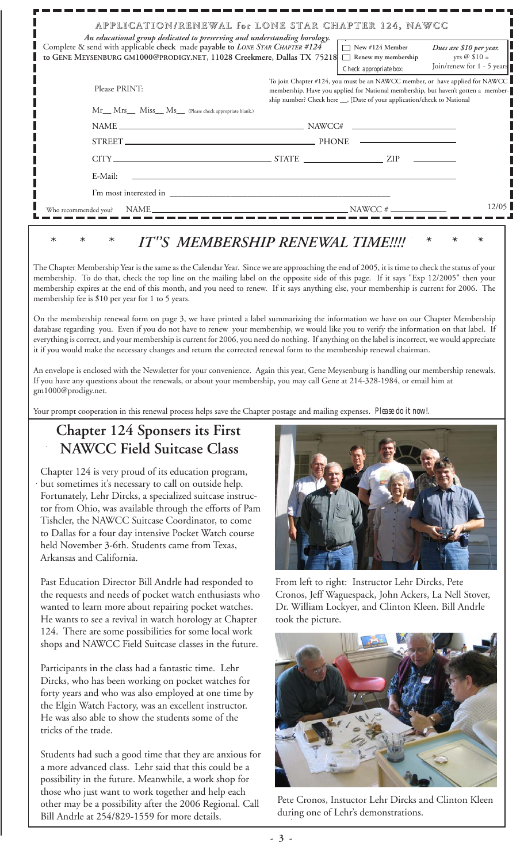| An educational group dedicated to preserving and understanding horology.                                                                                | APPLICATION/RENEWAL for LONE STAR CHAPTER 124, NAWCC                                                                                                                                                                                           |
|---------------------------------------------------------------------------------------------------------------------------------------------------------|------------------------------------------------------------------------------------------------------------------------------------------------------------------------------------------------------------------------------------------------|
| Complete & send with applicable check made payable to LONE STAR CHAPTER #124<br>to GENE MEYSENBURG GM1000@PRODIGY.NET, 11028 Creekmere, Dallas TX 75218 | $\Box$ New #124 Member<br>Dues are \$10 per year.<br>yrs @ $$10 =$<br>Renew my membership<br>Join/renew for 1 - 5 years<br>Check appropriate box:                                                                                              |
| Please PRINT:                                                                                                                                           | To join Chapter #124, you must be an NAWCC member, or have applied for NAWCC<br>membership. Have you applied for National membership, but haven't gotten a member-<br>ship number? Check here ___, [Date of your application/check to National |
| Mr__ Mrs__ Miss__ Ms__ (Please check appropriate blank.)                                                                                                |                                                                                                                                                                                                                                                |
| $NAME \_\_\_\_\_\_$ NAWCC#                                                                                                                              | the control of the control of the control of the control of                                                                                                                                                                                    |
|                                                                                                                                                         |                                                                                                                                                                                                                                                |
|                                                                                                                                                         | $CITY$ $ZIP$                                                                                                                                                                                                                                   |
| E-Mail:                                                                                                                                                 |                                                                                                                                                                                                                                                |
|                                                                                                                                                         |                                                                                                                                                                                                                                                |
| NAME<br>Who recommended you?                                                                                                                            | 12/05<br>$NAWCC \#$                                                                                                                                                                                                                            |

## IT"S MEMBERSHIP RENEWAL TIME!!!!

The Chapter Membership Year is the same as the Calendar Year. Since we are approaching the end of 2005, it is time to check the status of your membership. To do that, check the top line on the mailing label on the opposite side of this page. If it says "Exp 12/2005" then your membership expires at the end of this month, and you need to renew. If it says anything else, your membership is current for 2006. The membership fee is \$10 per year for 1 to 5 years.

On the membership renewal form on page 3, we have printed a label summarizing the information we have on our Chapter Membership database regarding you. Even if you do not have to renew your membership, we would like you to verify the information on that label. If everything is correct, and your membership is current for 2006, you need do nothing. If anything on the label is incorrect, we would appreciate it if you would make the necessary changes and return the corrected renewal form to the membership renewal chairman.

An envelope is enclosed with the Newsletter for your convenience. Again this year, Gene Meysenburg is handling our membership renewals. If you have any questions about the renewals, or about your membership, you may call Gene at 214-328-1984, or email him at gm1000@prodigy.net.

Your prompt cooperation in this renewal process helps save the Chapter postage and mailing expenses. *Please do it now!*.

## **Chapter 124 Sponsers its First NAWCC Field Suitcase Class**

Chapter 124 is very proud of its education program, but sometimes it's necessary to call on outside help. Fortunately, Lehr Dircks, a specialized suitcase instructor from Ohio, was available through the efforts of Pam Tishcler, the NAWCC Suitcase Coordinator, to come to Dallas for a four day intensive Pocket Watch course held November 3-6th. Students came from Texas, Arkansas and California.

Past Education Director Bill Andrle had responded to the requests and needs of pocket watch enthusiasts who wanted to learn more about repairing pocket watches. He wants to see a revival in watch horology at Chapter 124. There are some possibilities for some local work shops and NAWCC Field Suitcase classes in the future.

Participants in the class had a fantastic time. Lehr Dircks, who has been working on pocket watches for forty years and who was also employed at one time by the Elgin Watch Factory, was an excellent instructor. He was also able to show the students some of the tricks of the trade.

Students had such a good time that they are anxious for a more advanced class. Lehr said that this could be a possibility in the future. Meanwhile, a work shop for those who just want to work together and help each other may be a possibility after the 2006 Regional. Call Bill Andrle at 254/829-1559 for more details.



From left to right: Instructor Lehr Dircks, Pete Cronos, Jeff Waguespack, John Ackers, La Nell Stover, Dr. William Lockyer, and Clinton Kleen. Bill Andrle took the picture.



Pete Cronos, Instuctor Lehr Dircks and Clinton Kleen during one of Lehr's demonstrations.